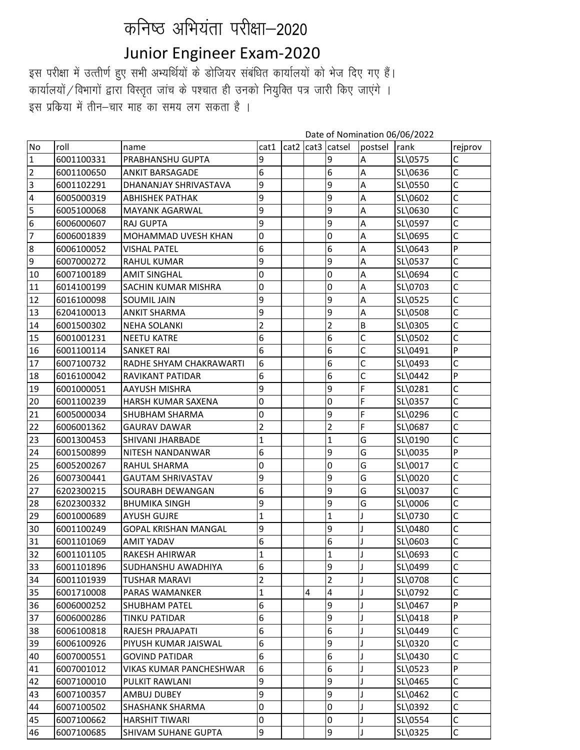## कनिष्ठ अभियंता परीक्षा-2020

## Junior Engineer Exam-2020

इस परीक्षा में उत्तीर्ण हुए सभी अभ्यर्थियों के डोजियर संबंधित कार्यालयों को भेज दिए गए हैं। कार्यालयों / विभागों द्वारा विस्तृत जांच के पश्चात ही उनको नियुक्ति पत्र जारी किए जाएंगे । इस प्रकिया में तीन–चार माह का समय लग सकता है ।

|                 |            |                                |                         |      |      | Date of Nomination 06/06/2022 |                |         |              |  |
|-----------------|------------|--------------------------------|-------------------------|------|------|-------------------------------|----------------|---------|--------------|--|
| <b>No</b>       | roll       | name                           | cat1                    | cat2 | cat3 | catsel                        | postsel rank   |         | rejprov      |  |
| $\mathbf{1}$    | 6001100331 | PRABHANSHU GUPTA               | 9                       |      |      | 9                             | A              | SL\0575 | С            |  |
| $\overline{2}$  | 6001100650 | <b>ANKIT BARSAGADE</b>         | 6                       |      |      | $6\phantom{.}6$               | A              | SL\0636 | C            |  |
| $\frac{1}{2}$   | 6001102291 | DHANANJAY SHRIVASTAVA          | 9                       |      |      | 9                             | A              | SL\0550 | C            |  |
|                 | 6005000319 | <b>ABHISHEK PATHAK</b>         | 9                       |      |      | 9                             | Α              | SL\0602 | C            |  |
| $\overline{5}$  | 6005100068 | MAYANK AGARWAL                 | 9                       |      |      | 9                             | A              | SL\0630 | C            |  |
| $\overline{6}$  | 6006000607 | <b>RAJ GUPTA</b>               | 9                       |      |      | 9                             | Α              | SL\0597 | C            |  |
| $\overline{7}$  | 6006001839 | MOHAMMAD UVESH KHAN            | 0                       |      |      | $\mathbf 0$                   | A              | SL\0695 | C            |  |
| $\overline{8}$  | 6006100052 | <b>VISHAL PATEL</b>            | 6                       |      |      | 6                             | A              | SL\0643 | P            |  |
| $\overline{9}$  | 6007000272 | <b>RAHUL KUMAR</b>             | 9                       |      |      | 9                             | A              | SL\0537 | C            |  |
| 10              | 6007100189 | <b>AMIT SINGHAL</b>            | 0                       |      |      | 0                             | Α              | SL\0694 | C            |  |
| 11              | 6014100199 | <b>SACHIN KUMAR MISHRA</b>     | 0                       |      |      | 0                             | Α              | SL\0703 | C            |  |
| 12              | 6016100098 | <b>SOUMIL JAIN</b>             | 9                       |      |      | 9                             | A              | SL\0525 | C            |  |
| 13              | 6204100013 | <b>ANKIT SHARMA</b>            | 9                       |      |      | 9                             | A              | SL\0508 | C            |  |
| 14              | 6001500302 | <b>NEHA SOLANKI</b>            | $\overline{2}$          |      |      | $\overline{2}$                | $\overline{B}$ | SL\0305 | C            |  |
| 15              | 6001001231 | <b>NEETU KATRE</b>             | 6                       |      |      | $6\phantom{.}6$               | C              | SL\0502 | C            |  |
| 16              | 6001100114 | <b>SANKET RAI</b>              | 6                       |      |      | 6                             | C              | SL\0491 | P            |  |
| 17              | 6007100732 | RADHE SHYAM CHAKRAWARTI        | 6                       |      |      | 6                             | C              | SL\0493 | C            |  |
| 18              | 6016100042 | RAVIKANT PATIDAR               | 6                       |      |      | 6                             | C              | SL\0442 | $\mathsf{P}$ |  |
| 19              | 6001000051 | <b>AAYUSH MISHRA</b>           | 9                       |      |      | 9                             | F              | SL\0281 | C            |  |
| 20              | 6001100239 | HARSH KUMAR SAXENA             | 0                       |      |      | 0                             | F              | SL\0357 | C            |  |
| 21              | 6005000034 | <b>SHUBHAM SHARMA</b>          | 0                       |      |      | 9                             | F              | SL\0296 | C            |  |
| $\overline{22}$ | 6006001362 | <b>GAURAV DAWAR</b>            | $\overline{2}$          |      |      | $\overline{2}$                | F              | SL\0687 | Ċ            |  |
| 23              | 6001300453 | SHIVANI JHARBADE               | $\mathbf 1$             |      |      | $\mathbf{1}$                  | G              | SL\0190 | C            |  |
| 24              | 6001500899 | NITESH NANDANWAR               | 6                       |      |      | 9                             | G              | SL\0035 | P            |  |
| 25              | 6005200267 | RAHUL SHARMA                   | 0                       |      |      | $\pmb{0}$                     | G              | SL\0017 | C            |  |
| 26              | 6007300441 | <b>GAUTAM SHRIVASTAV</b>       | 9                       |      |      | 9                             | G              | SL\0020 | C            |  |
| $\overline{27}$ | 6202300215 | SOURABH DEWANGAN               | 6                       |      |      | 9                             | G              | SL\0037 | C            |  |
| 28              | 6202300332 | <b>BHUMIKA SINGH</b>           | 9                       |      |      | 9                             | G              | SL\0006 | C            |  |
| 29              | 6001000689 | <b>AYUSH GUJRE</b>             | $\mathbf{1}$            |      |      | $\mathbf{1}$                  |                | SL\0730 | C            |  |
| $\overline{30}$ | 6001100249 | <b>GOPAL KRISHAN MANGAL</b>    | 9                       |      |      | 9                             |                | SL\0480 | С            |  |
| 31              | 6001101069 | <b>AMIT YADAV</b>              | 6                       |      |      | 6                             |                | SL\0603 | Ċ            |  |
| 32              | 6001101105 | RAKESH AHIRWAR                 | $\mathbf{1}$            |      |      | $\mathbf{1}$                  |                | SL\0693 | C            |  |
| 33              | 6001101896 | SUDHANSHU AWADHIYA             | 6                       |      |      | 9                             |                | SL\0499 | C            |  |
| 34              | 6001101939 | <b>TUSHAR MARAVI</b>           | $\overline{\mathbf{c}}$ |      |      | $\overline{2}$                |                | SL\0708 | C            |  |
| 35              | 6001710008 | PARAS WAMANKER                 | $\mathbf{1}$            |      | 4    | $\overline{4}$                |                | SL\0792 | C            |  |
| 36              | 6006000252 | <b>SHUBHAM PATEL</b>           | 6                       |      |      | 9                             |                | SL\0467 | P            |  |
| 37              | 6006000286 | TINKU PATIDAR                  | 6                       |      |      | 9                             |                | SL\0418 | P            |  |
| 38              | 6006100818 | RAJESH PRAJAPATI               | 6                       |      |      | 6                             |                | SL\0449 | С            |  |
| 39              | 6006100926 | PIYUSH KUMAR JAISWAL           | 6                       |      |      | 9                             |                | SL\0320 | C            |  |
| 40              | 6007000551 | <b>GOVIND PATIDAR</b>          | 6                       |      |      | 6                             |                | SL\0430 | C            |  |
| 41              | 6007001012 | <b>VIKAS KUMAR PANCHESHWAR</b> | 6                       |      |      | 6                             |                | SL\0523 | $\mathsf{P}$ |  |
| $\overline{42}$ | 6007100010 | PULKIT RAWLANI                 | 9                       |      |      | 9                             |                | SL\0465 | C            |  |
| 43              | 6007100357 | AMBUJ DUBEY                    | 9                       |      |      | 9                             |                | SL\0462 | C            |  |
| 44              | 6007100502 | <b>SHASHANK SHARMA</b>         | 0                       |      |      | $\pmb{0}$                     |                | SL\0392 | $\mathsf{C}$ |  |
| 45              | 6007100662 | <b>HARSHIT TIWARI</b>          | 0                       |      |      | $\pmb{0}$                     |                | SL\0554 | C            |  |
| 46              | 6007100685 | <b>SHIVAM SUHANE GUPTA</b>     | 9                       |      |      | 9                             |                | SL\0325 | C            |  |